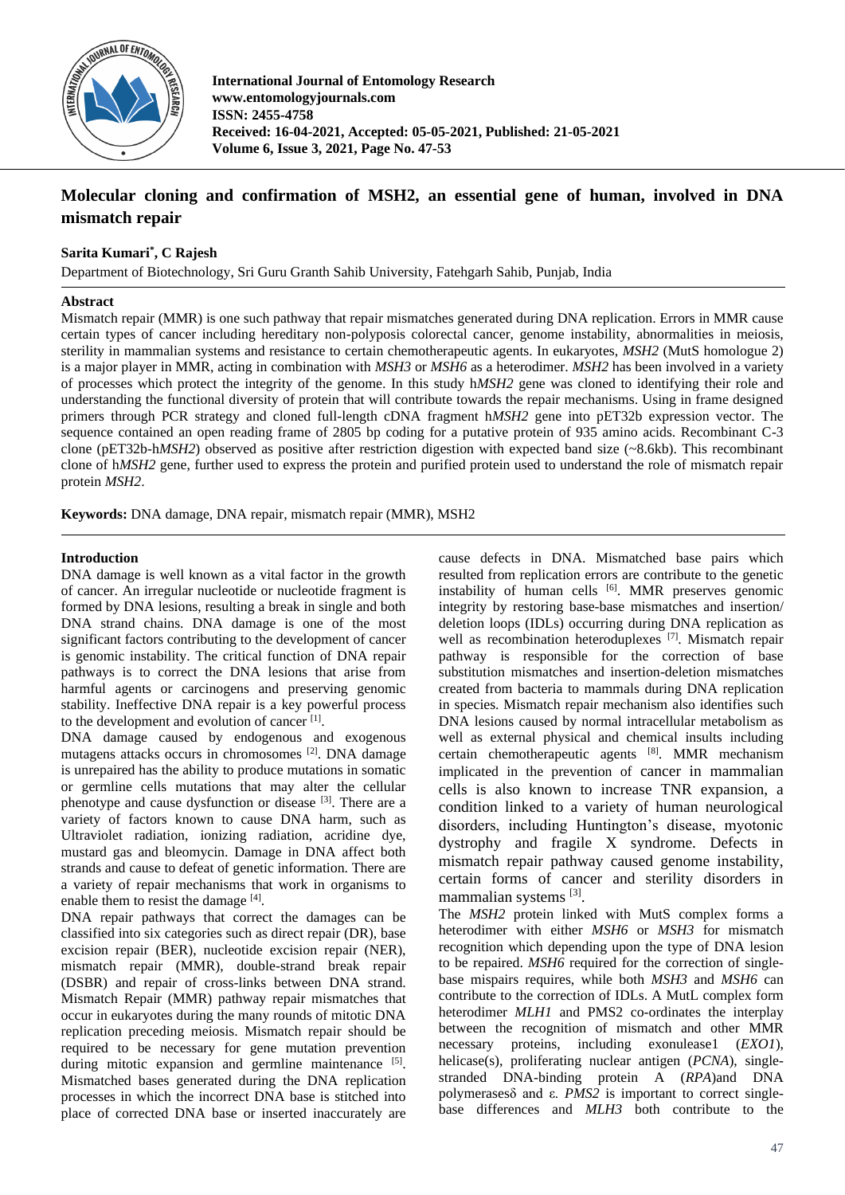

**International Journal of Entomology Research www.entomologyjournals.com ISSN: 2455-4758 Received: 16-04-2021, Accepted: 05-05-2021, Published: 21-05-2021 Volume 6, Issue 3, 2021, Page No. 47-53**

# **Molecular cloning and confirmation of MSH2, an essential gene of human, involved in DNA mismatch repair**

# **Sarita Kumari\* , C Rajesh**

Department of Biotechnology, Sri Guru Granth Sahib University, Fatehgarh Sahib, Punjab, India

## **Abstract**

Mismatch repair (MMR) is one such pathway that repair mismatches generated during DNA replication. Errors in MMR cause certain types of cancer including hereditary non-polyposis colorectal cancer, genome instability, abnormalities in meiosis, sterility in mammalian systems and resistance to certain chemotherapeutic agents. In eukaryotes, *MSH2* (MutS homologue 2) is a major player in MMR, acting in combination with *MSH3* or *MSH6* as a heterodimer. *MSH2* has been involved in a variety of processes which protect the integrity of the genome. In this study h*MSH2* gene was cloned to identifying their role and understanding the functional diversity of protein that will contribute towards the repair mechanisms. Using in frame designed primers through PCR strategy and cloned full-length cDNA fragment h*MSH2* gene into pET32b expression vector. The sequence contained an open reading frame of 2805 bp coding for a putative protein of 935 amino acids. Recombinant C-3 clone (pET32b-h*MSH2*) observed as positive after restriction digestion with expected band size (~8.6kb). This recombinant clone of h*MSH2* gene, further used to express the protein and purified protein used to understand the role of mismatch repair protein *MSH2*.

**Keywords:** DNA damage, DNA repair, mismatch repair (MMR), MSH2

# **Introduction**

DNA damage is well known as a vital factor in the growth of cancer. An irregular nucleotide or nucleotide fragment is formed by DNA lesions, resulting a break in single and both DNA strand chains. DNA damage is one of the most significant factors contributing to the development of cancer is genomic instability. The critical function of DNA repair pathways is to correct the DNA lesions that arise from harmful agents or carcinogens and preserving genomic stability. Ineffective DNA repair is a key powerful process to the development and evolution of cancer<sup>[1]</sup>.

DNA damage caused by endogenous and exogenous mutagens attacks occurs in chromosomes [2]. DNA damage is unrepaired has the ability to produce mutations in somatic or germline cells mutations that may alter the cellular phenotype and cause dysfunction or disease [3]. There are a variety of factors known to cause DNA harm, such as Ultraviolet radiation, ionizing radiation, acridine dye, mustard gas and bleomycin. Damage in DNA affect both strands and cause to defeat of genetic information. There are a variety of repair mechanisms that work in organisms to enable them to resist the damage [4].

DNA repair pathways that correct the damages can be classified into six categories such as direct repair (DR), base excision repair (BER), nucleotide excision repair (NER), mismatch repair (MMR), double-strand break repair (DSBR) and repair of cross-links between DNA strand. Mismatch Repair (MMR) pathway repair mismatches that occur in eukaryotes during the many rounds of mitotic DNA replication preceding meiosis. Mismatch repair should be required to be necessary for gene mutation prevention during mitotic expansion and germline maintenance  $[5]$ . Mismatched bases generated during the DNA replication processes in which the incorrect DNA base is stitched into place of corrected DNA base or inserted inaccurately are cause defects in DNA. Mismatched base pairs which resulted from replication errors are contribute to the genetic instability of human cells <sup>[6]</sup>. MMR preserves genomic integrity by restoring base-base mismatches and insertion/ deletion loops (IDLs) occurring during DNA replication as well as recombination heteroduplexes<sup>[7]</sup>. Mismatch repair pathway is responsible for the correction of base substitution mismatches and insertion-deletion mismatches created from bacteria to mammals during DNA replication in species. Mismatch repair mechanism also identifies such DNA lesions caused by normal intracellular metabolism as well as external physical and chemical insults including certain chemotherapeutic agents [8]. MMR mechanism implicated in the prevention of cancer in mammalian cells is also known to increase TNR expansion, a condition linked to a variety of human neurological disorders, including Huntington's disease, myotonic dystrophy and fragile X syndrome. Defects in mismatch repair pathway caused genome instability, certain forms of cancer and sterility disorders in mammalian systems [3].

The *MSH2* protein linked with MutS complex forms a heterodimer with either *MSH6* or *MSH3* for mismatch recognition which depending upon the type of DNA lesion to be repaired. *MSH6* required for the correction of singlebase mispairs requires, while both *MSH3* and *MSH6* can contribute to the correction of IDLs. A MutL complex form heterodimer *MLH1* and PMS2 co-ordinates the interplay between the recognition of mismatch and other MMR necessary proteins, including exonulease1 (*EXO1*), helicase(s), proliferating nuclear antigen (*PCNA*), singlestranded DNA-binding protein A (*RPA*)and DNA polymerasesδ and ε. *PMS2* is important to correct singlebase differences and *MLH3* both contribute to the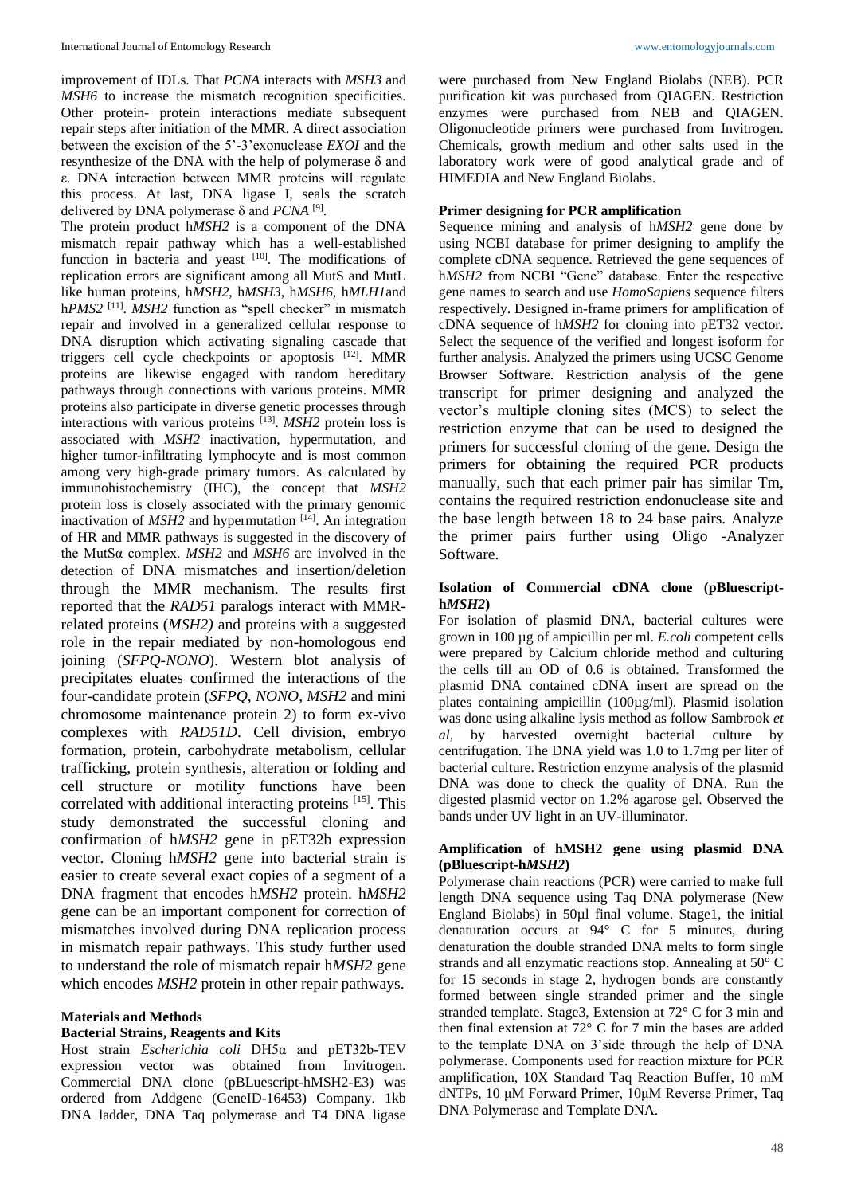improvement of IDLs. That *PCNA* interacts with *MSH3* and *MSH6* to increase the mismatch recognition specificities. Other protein- protein interactions mediate subsequent repair steps after initiation of the MMR. A direct association between the excision of the 5'-3'exonuclease *EXOI* and the resynthesize of the DNA with the help of polymerase δ and ε. DNA interaction between MMR proteins will regulate this process. At last, DNA ligase I, seals the scratch delivered by DNA polymerase δ and *PCNA* [9] .

The protein product h*MSH2* is a component of the DNA mismatch repair pathway which has a well-established function in bacteria and yeast [10]. The modifications of replication errors are significant among all MutS and MutL like human proteins, h*MSH2*, h*MSH3*, h*MSH6*, h*MLH1*and h*PMS2* [11] . *MSH2* function as "spell checker" in mismatch repair and involved in a generalized cellular response to DNA disruption which activating signaling cascade that triggers cell cycle checkpoints or apoptosis [12]. MMR proteins are likewise engaged with random hereditary pathways through connections with various proteins. MMR proteins also participate in diverse genetic processes through interactions with various proteins [13] . *MSH2* protein loss is associated with *MSH2* inactivation, hypermutation, and higher tumor-infiltrating lymphocyte and is most common among very high-grade primary tumors. As calculated by immunohistochemistry (IHC), the concept that *MSH2*  protein loss is closely associated with the primary genomic inactivation of  $MSH2$  and hypermutation  $[14]$ . An integration of HR and MMR pathways is suggested in the discovery of the MutSα complex. *MSH2* and *MSH6* are involved in the detection of DNA mismatches and insertion/deletion through the MMR mechanism. The results first reported that the *RAD51* paralogs interact with MMRrelated proteins (*MSH2)* and proteins with a suggested role in the repair mediated by non-homologous end joining (*SFPQ-NONO*). Western blot analysis of precipitates eluates confirmed the interactions of the four-candidate protein (*SFPQ*, *NONO*, *MSH2* and mini chromosome maintenance protein 2) to form ex-vivo complexes with *RAD51D*. Cell division, embryo formation, protein, carbohydrate metabolism, cellular trafficking, protein synthesis, alteration or folding and cell structure or motility functions have been correlated with additional interacting proteins <sup>[15]</sup>. This study demonstrated the successful cloning and confirmation of h*MSH2* gene in pET32b expression vector. Cloning h*MSH2* gene into bacterial strain is easier to create several exact copies of a segment of a DNA fragment that encodes h*MSH2* protein. h*MSH2*  gene can be an important component for correction of mismatches involved during DNA replication process in mismatch repair pathways. This study further used to understand the role of mismatch repair h*MSH2* gene which encodes *MSH2* protein in other repair pathways.

## **Materials and Methods**

### **Bacterial Strains, Reagents and Kits**

Host strain *Escherichia coli* DH5α and pET32b-TEV expression vector was obtained from Invitrogen. Commercial DNA clone (pBLuescript-hMSH2-E3) was ordered from Addgene (GeneID-16453) Company. 1kb DNA ladder, DNA Taq polymerase and T4 DNA ligase

were purchased from New England Biolabs (NEB). PCR purification kit was purchased from QIAGEN. Restriction enzymes were purchased from NEB and QIAGEN. Oligonucleotide primers were purchased from Invitrogen. Chemicals, growth medium and other salts used in the laboratory work were of good analytical grade and of HIMEDIA and New England Biolabs.

### **Primer designing for PCR amplification**

Sequence mining and analysis of h*MSH2* gene done by using NCBI database for primer designing to amplify the complete cDNA sequence. Retrieved the gene sequences of h*MSH2* from NCBI "Gene" database. Enter the respective gene names to search and use *HomoSapiens* sequence filters respectively. Designed in-frame primers for amplification of cDNA sequence of h*MSH2* for cloning into pET32 vector. Select the sequence of the verified and longest isoform for further analysis. Analyzed the primers using UCSC Genome Browser Software. Restriction analysis of the gene transcript for primer designing and analyzed the vector's multiple cloning sites (MCS) to select the restriction enzyme that can be used to designed the primers for successful cloning of the gene. Design the primers for obtaining the required PCR products manually, such that each primer pair has similar Tm, contains the required restriction endonuclease site and the base length between 18 to 24 base pairs. Analyze the primer pairs further using Oligo -Analyzer Software.

### **Isolation of Commercial cDNA clone (pBluescripth***MSH2***)**

For isolation of plasmid DNA, bacterial cultures were grown in 100 µg of ampicillin per ml. *E.coli* competent cells were prepared by Calcium chloride method and culturing the cells till an OD of 0.6 is obtained. Transformed the plasmid DNA contained cDNA insert are spread on the plates containing ampicillin (100µg/ml). Plasmid isolation was done using alkaline lysis method as follow Sambrook *et al*, by harvested overnight bacterial culture by centrifugation. The DNA yield was 1.0 to 1.7mg per liter of bacterial culture. Restriction enzyme analysis of the plasmid DNA was done to check the quality of DNA. Run the digested plasmid vector on 1.2% agarose gel. Observed the bands under UV light in an UV-illuminator.

## **Amplification of hMSH2 gene using plasmid DNA (pBluescript-h***MSH2***)**

Polymerase chain reactions (PCR) were carried to make full length DNA sequence using Taq DNA polymerase (New England Biolabs) in 50µl final volume. Stage1, the initial denaturation occurs at 94° C for 5 minutes, during denaturation the double stranded DNA melts to form single strands and all enzymatic reactions stop. Annealing at 50° C for 15 seconds in stage 2, hydrogen bonds are constantly formed between single stranded primer and the single stranded template. Stage3, Extension at 72° C for 3 min and then final extension at 72° C for 7 min the bases are added to the template DNA on 3'side through the help of DNA polymerase. Components used for reaction mixture for PCR amplification, 10X Standard Taq Reaction Buffer, 10 mM dNTPs, 10 μM Forward Primer, 10μM Reverse Primer, Taq DNA Polymerase and Template DNA.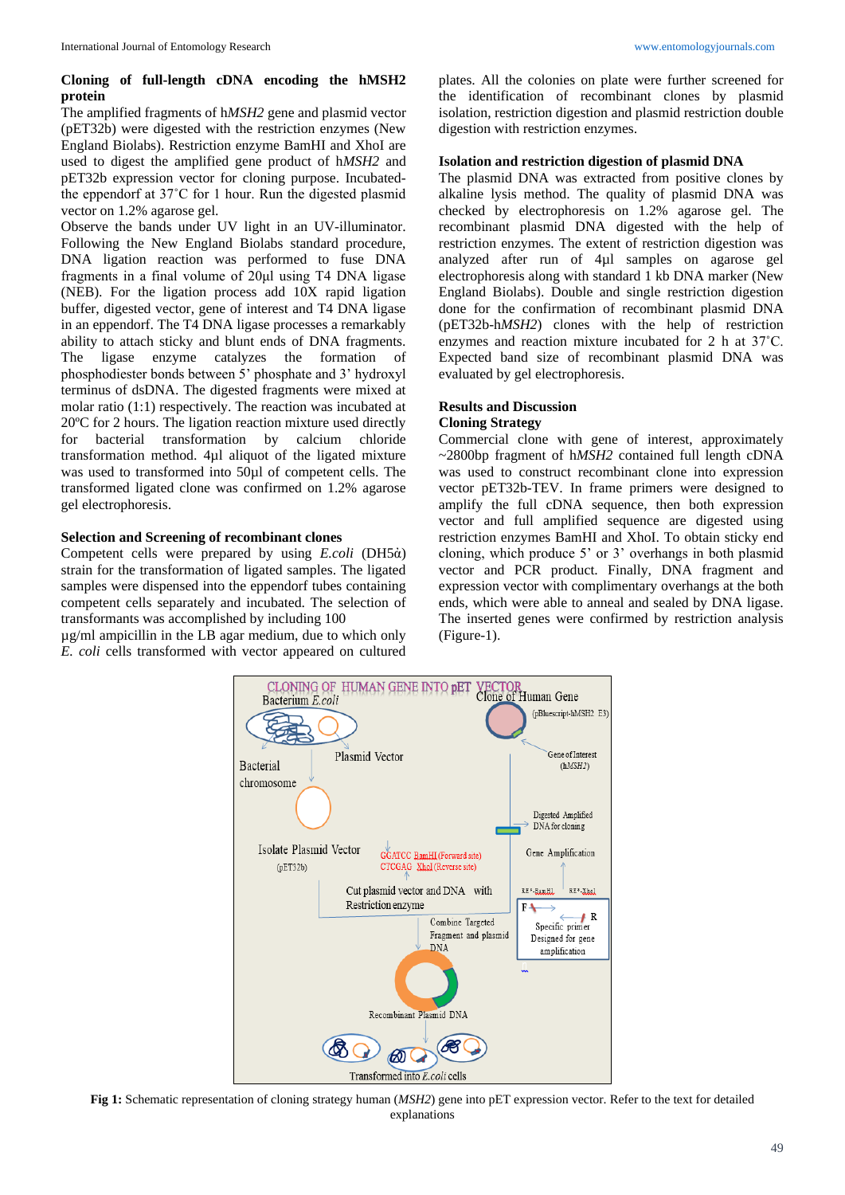# **Cloning of full-length cDNA encoding the hMSH2 protein**

The amplified fragments of h*MSH2* gene and plasmid vector (pET32b) were digested with the restriction enzymes (New England Biolabs). Restriction enzyme BamHI and XhoI are used to digest the amplified gene product of h*MSH2* and pET32b expression vector for cloning purpose. Incubatedthe eppendorf at 37˚C for 1 hour. Run the digested plasmid vector on 1.2% agarose gel.

Observe the bands under UV light in an UV-illuminator. Following the New England Biolabs standard procedure, DNA ligation reaction was performed to fuse DNA fragments in a final volume of 20μl using T4 DNA ligase (NEB). For the ligation process add 10X rapid ligation buffer, digested vector, gene of interest and T4 DNA ligase in an eppendorf. The T4 DNA ligase processes a remarkably ability to attach sticky and blunt ends of DNA fragments. The ligase enzyme catalyzes the formation of phosphodiester bonds between 5' phosphate and 3' hydroxyl terminus of dsDNA. The digested fragments were mixed at molar ratio (1:1) respectively. The reaction was incubated at 20ºC for 2 hours. The ligation reaction mixture used directly for bacterial transformation by calcium chloride transformation method. 4µl aliquot of the ligated mixture was used to transformed into 50µl of competent cells. The transformed ligated clone was confirmed on 1.2% agarose gel electrophoresis.

# **Selection and Screening of recombinant clones**

Competent cells were prepared by using *E.coli* (DH5ἀ) strain for the transformation of ligated samples. The ligated samples were dispensed into the eppendorf tubes containing competent cells separately and incubated. The selection of transformants was accomplished by including 100

µg/ml ampicillin in the LB agar medium, due to which only *E. coli* cells transformed with vector appeared on cultured

plates. All the colonies on plate were further screened for the identification of recombinant clones by plasmid isolation, restriction digestion and plasmid restriction double digestion with restriction enzymes.

# **Isolation and restriction digestion of plasmid DNA**

The plasmid DNA was extracted from positive clones by alkaline lysis method. The quality of plasmid DNA was checked by electrophoresis on 1.2% agarose gel. The recombinant plasmid DNA digested with the help of restriction enzymes. The extent of restriction digestion was analyzed after run of 4µl samples on agarose gel electrophoresis along with standard 1 kb DNA marker (New England Biolabs). Double and single restriction digestion done for the confirmation of recombinant plasmid DNA (pET32b-h*MSH2*) clones with the help of restriction enzymes and reaction mixture incubated for 2 h at 37˚C. Expected band size of recombinant plasmid DNA was evaluated by gel electrophoresis.

# **Results and Discussion**

# **Cloning Strategy**

Commercial clone with gene of interest, approximately ~2800bp fragment of h*MSH2* contained full length cDNA was used to construct recombinant clone into expression vector pET32b-TEV. In frame primers were designed to amplify the full cDNA sequence, then both expression vector and full amplified sequence are digested using restriction enzymes BamHI and XhoI. To obtain sticky end cloning, which produce 5' or 3' overhangs in both plasmid vector and PCR product. Finally, DNA fragment and expression vector with complimentary overhangs at the both ends, which were able to anneal and sealed by DNA ligase. The inserted genes were confirmed by restriction analysis (Figure-1).



**Fig 1:** Schematic representation of cloning strategy human (*MSH2*) gene into pET expression vector. Refer to the text for detailed explanations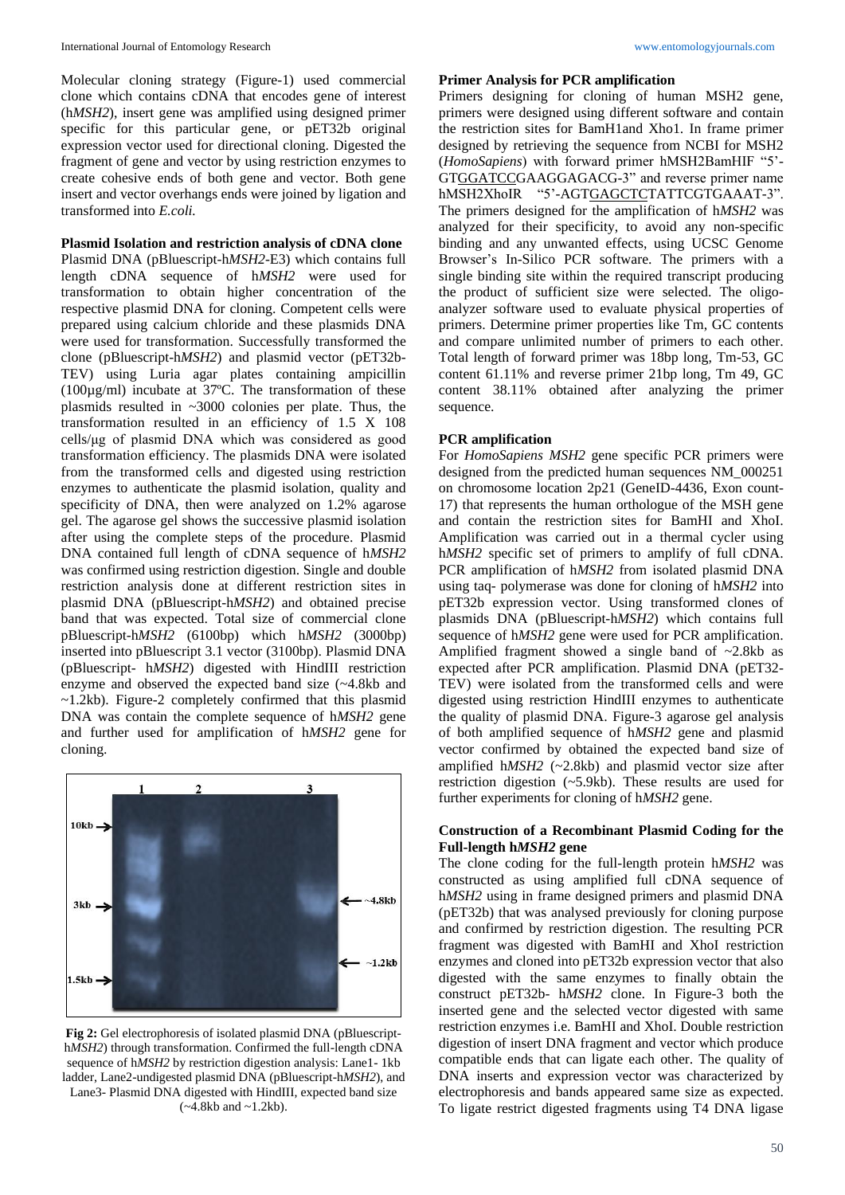Molecular cloning strategy (Figure-1) used commercial clone which contains cDNA that encodes gene of interest (h*MSH2*), insert gene was amplified using designed primer specific for this particular gene, or pET32b original expression vector used for directional cloning. Digested the fragment of gene and vector by using restriction enzymes to create cohesive ends of both gene and vector. Both gene insert and vector overhangs ends were joined by ligation and transformed into *E.coli.*

### **Plasmid Isolation and restriction analysis of cDNA clone**

Plasmid DNA (pBluescript-h*MSH2*-E3) which contains full length cDNA sequence of h*MSH2* were used for transformation to obtain higher concentration of the respective plasmid DNA for cloning. Competent cells were prepared using calcium chloride and these plasmids DNA were used for transformation. Successfully transformed the clone (pBluescript-h*MSH2*) and plasmid vector (pET32b-TEV) using Luria agar plates containing ampicillin (100µg/ml) incubate at 37ºC. The transformation of these plasmids resulted in ~3000 colonies per plate. Thus, the transformation resulted in an efficiency of 1.5 X 108 cells/μg of plasmid DNA which was considered as good transformation efficiency. The plasmids DNA were isolated from the transformed cells and digested using restriction enzymes to authenticate the plasmid isolation, quality and specificity of DNA, then were analyzed on 1.2% agarose gel. The agarose gel shows the successive plasmid isolation after using the complete steps of the procedure. Plasmid DNA contained full length of cDNA sequence of h*MSH2*  was confirmed using restriction digestion. Single and double restriction analysis done at different restriction sites in plasmid DNA (pBluescript-h*MSH2*) and obtained precise band that was expected. Total size of commercial clone pBluescript-h*MSH2* (6100bp) which h*MSH2* (3000bp) inserted into pBluescript 3.1 vector (3100bp). Plasmid DNA (pBluescript- h*MSH2*) digested with HindIII restriction enzyme and observed the expected band size (~4.8kb and  $\sim$ 1.2kb). Figure-2 completely confirmed that this plasmid DNA was contain the complete sequence of h*MSH2* gene and further used for amplification of h*MSH2* gene for cloning.



**Fig 2:** Gel electrophoresis of isolated plasmid DNA (pBluescripth*MSH2*) through transformation. Confirmed the full-length cDNA sequence of h*MSH2* by restriction digestion analysis: Lane1- 1kb ladder, Lane2-undigested plasmid DNA (pBluescript-h*MSH2*), and Lane3- Plasmid DNA digested with HindIII, expected band size  $(-4.8kb$  and  $\sim$ 1.2kb).

### **Primer Analysis for PCR amplification**

Primers designing for cloning of human MSH2 gene, primers were designed using different software and contain the restriction sites for BamH1and Xho1. In frame primer designed by retrieving the sequence from NCBI for MSH2 (*HomoSapiens*) with forward primer hMSH2BamHIF "5'- GTGGATCCGAAGGAGACG-3" and reverse primer name hMSH2XhoIR "5'-AGTGAGCTCTATTCGTGAAAT-3". The primers designed for the amplification of h*MSH2* was analyzed for their specificity, to avoid any non-specific binding and any unwanted effects, using UCSC Genome Browser's In-Silico PCR software. The primers with a single binding site within the required transcript producing the product of sufficient size were selected. The oligoanalyzer software used to evaluate physical properties of primers. Determine primer properties like Tm, GC contents and compare unlimited number of primers to each other. Total length of forward primer was 18bp long, Tm-53, GC content 61.11% and reverse primer 21bp long, Tm 49, GC content 38.11% obtained after analyzing the primer sequence.

#### **PCR amplification**

For *HomoSapiens MSH2* gene specific PCR primers were designed from the predicted human sequences NM\_000251 on chromosome location 2p21 (GeneID-4436, Exon count-17) that represents the human orthologue of the MSH gene and contain the restriction sites for BamHI and XhoI. Amplification was carried out in a thermal cycler using h*MSH2* specific set of primers to amplify of full cDNA. PCR amplification of h*MSH2* from isolated plasmid DNA using taq- polymerase was done for cloning of h*MSH2* into pET32b expression vector. Using transformed clones of plasmids DNA (pBluescript-h*MSH2*) which contains full sequence of h*MSH2* gene were used for PCR amplification. Amplified fragment showed a single band of  $\sim$ 2.8kb as expected after PCR amplification. Plasmid DNA (pET32- TEV) were isolated from the transformed cells and were digested using restriction HindIII enzymes to authenticate the quality of plasmid DNA. Figure-3 agarose gel analysis of both amplified sequence of h*MSH2* gene and plasmid vector confirmed by obtained the expected band size of amplified h*MSH2* (~2.8kb) and plasmid vector size after restriction digestion (~5.9kb). These results are used for further experiments for cloning of h*MSH2* gene.

## **Construction of a Recombinant Plasmid Coding for the Full-length h***MSH2* **gene**

The clone coding for the full-length protein h*MSH2* was constructed as using amplified full cDNA sequence of h*MSH2* using in frame designed primers and plasmid DNA (pET32b) that was analysed previously for cloning purpose and confirmed by restriction digestion. The resulting PCR fragment was digested with BamHI and XhoI restriction enzymes and cloned into pET32b expression vector that also digested with the same enzymes to finally obtain the construct pET32b- h*MSH2* clone. In Figure-3 both the inserted gene and the selected vector digested with same restriction enzymes i.e. BamHI and XhoI. Double restriction digestion of insert DNA fragment and vector which produce compatible ends that can ligate each other. The quality of DNA inserts and expression vector was characterized by electrophoresis and bands appeared same size as expected. To ligate restrict digested fragments using T4 DNA ligase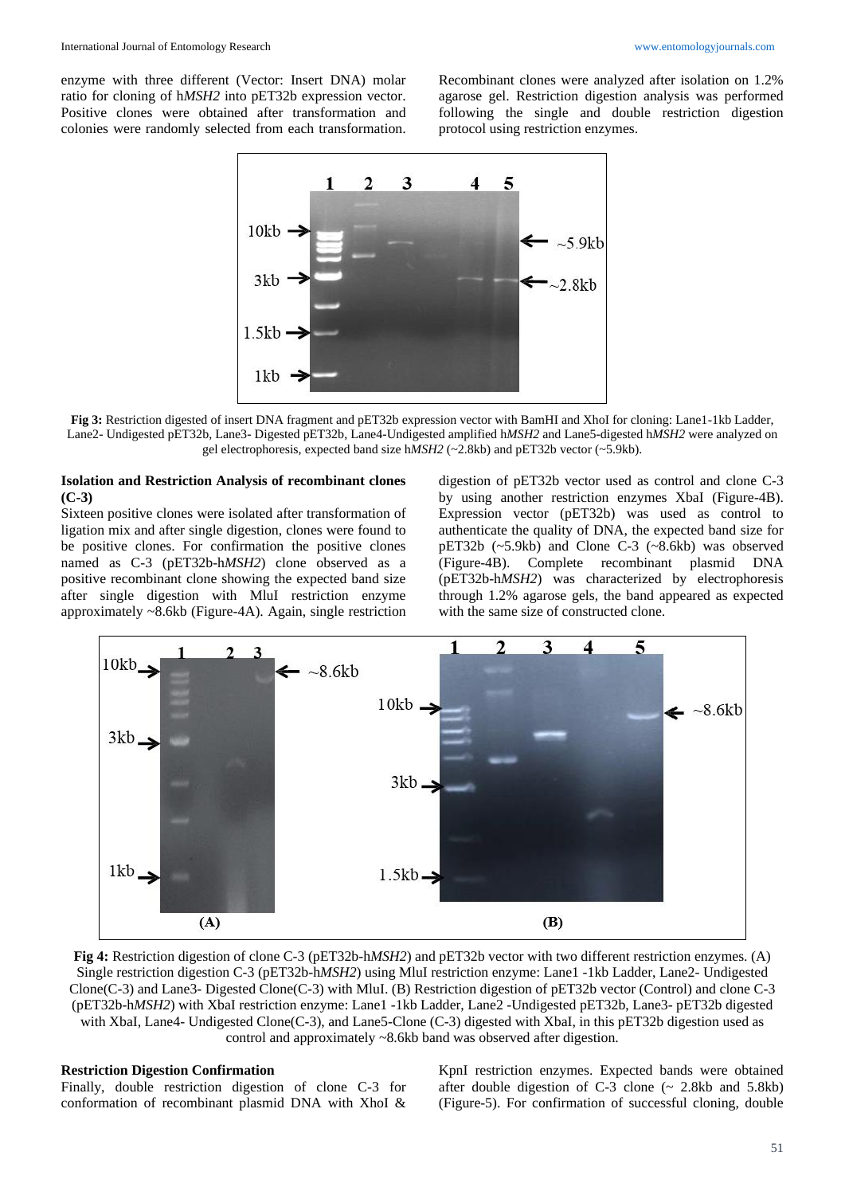enzyme with three different (Vector: Insert DNA) molar ratio for cloning of h*MSH2* into pET32b expression vector. Positive clones were obtained after transformation and colonies were randomly selected from each transformation.

Recombinant clones were analyzed after isolation on 1.2% agarose gel. Restriction digestion analysis was performed following the single and double restriction digestion protocol using restriction enzymes.



**Fig 3:** Restriction digested of insert DNA fragment and pET32b expression vector with BamHI and XhoI for cloning: Lane1-1kb Ladder, Lane2- Undigested pET32b, Lane3- Digested pET32b, Lane4-Undigested amplified h*MSH2* and Lane5-digested h*MSH2* were analyzed on gel electrophoresis, expected band size h*MSH2* (~2.8kb) and pET32b vector (~5.9kb).

## **Isolation and Restriction Analysis of recombinant clones (C-3)**

Sixteen positive clones were isolated after transformation of ligation mix and after single digestion, clones were found to be positive clones. For confirmation the positive clones named as C-3 (pET32b-h*MSH2*) clone observed as a positive recombinant clone showing the expected band size after single digestion with MluI restriction enzyme approximately ~8.6kb (Figure-4A). Again, single restriction

digestion of pET32b vector used as control and clone C-3 by using another restriction enzymes XbaI (Figure-4B). Expression vector (pET32b) was used as control to authenticate the quality of DNA, the expected band size for pET32b (~5.9kb) and Clone C-3 (~8.6kb) was observed (Figure-4B). Complete recombinant plasmid DNA (pET32b-h*MSH2*) was characterized by electrophoresis through 1.2% agarose gels, the band appeared as expected with the same size of constructed clone.



**Fig 4:** Restriction digestion of clone C-3 (pET32b-h*MSH2*) and pET32b vector with two different restriction enzymes. (A) Single restriction digestion C-3 (pET32b-h*MSH2*) using MluI restriction enzyme: Lane1 -1kb Ladder, Lane2- Undigested Clone(C-3) and Lane3- Digested Clone(C-3) with MluI. (B) Restriction digestion of pET32b vector (Control) and clone C-3 (pET32b-h*MSH2*) with XbaI restriction enzyme: Lane1 -1kb Ladder, Lane2 -Undigested pET32b, Lane3- pET32b digested with XbaI, Lane4- Undigested Clone(C-3), and Lane5-Clone (C-3) digested with XbaI, in this pET32b digestion used as control and approximately ~8.6kb band was observed after digestion.

### **Restriction Digestion Confirmation**

Finally, double restriction digestion of clone C-3 for conformation of recombinant plasmid DNA with XhoI &

KpnI restriction enzymes. Expected bands were obtained after double digestion of  $C-3$  clone  $\sim$  2.8kb and 5.8kb) (Figure-5). For confirmation of successful cloning, double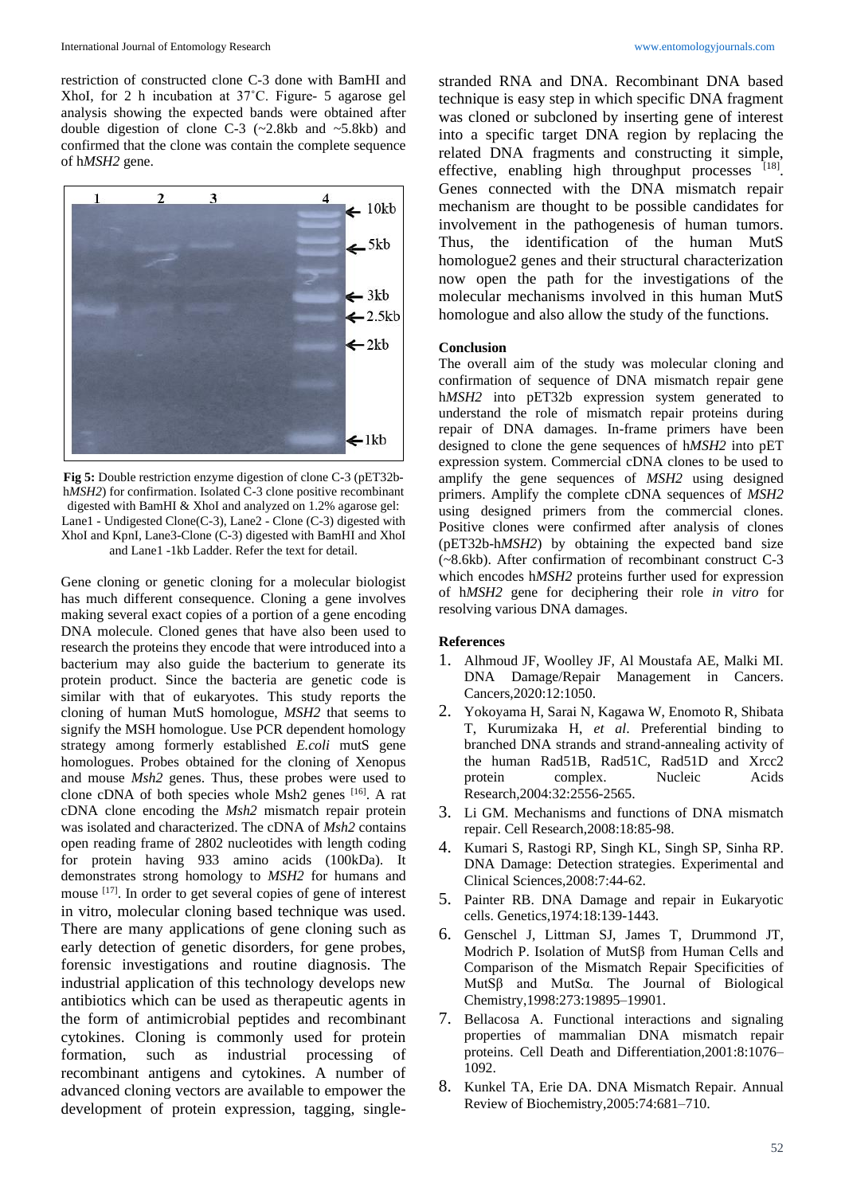restriction of constructed clone C-3 done with BamHI and XhoI, for 2 h incubation at 37˚C. Figure- 5 agarose gel analysis showing the expected bands were obtained after double digestion of clone C-3  $(\sim 2.8 \text{kb}$  and  $\sim 5.8 \text{kb})$  and confirmed that the clone was contain the complete sequence of h*MSH2* gene.



**Fig 5:** Double restriction enzyme digestion of clone C-3 (pET32bh*MSH2*) for confirmation. Isolated C-3 clone positive recombinant digested with BamHI & XhoI and analyzed on 1.2% agarose gel: Lane1 - Undigested Clone(C-3), Lane2 - Clone (C-3) digested with XhoI and KpnI, Lane3-Clone (C-3) digested with BamHI and XhoI and Lane1 -1kb Ladder. Refer the text for detail.

Gene cloning or genetic cloning for a molecular biologist has much different consequence. Cloning a gene involves making several exact copies of a portion of a gene encoding DNA molecule. Cloned genes that have also been used to research the proteins they encode that were introduced into a bacterium may also guide the bacterium to generate its protein product. Since the bacteria are genetic code is similar with that of eukaryotes. This study reports the cloning of human MutS homologue, *MSH2* that seems to signify the MSH homologue. Use PCR dependent homology strategy among formerly established *E.coli* mutS gene homologues. Probes obtained for the cloning of Xenopus and mouse *Msh2* genes. Thus, these probes were used to clone cDNA of both species whole Msh2 genes [16]. A rat cDNA clone encoding the *Msh2* mismatch repair protein was isolated and characterized. The cDNA of *Msh2* contains open reading frame of 2802 nucleotides with length coding for protein having 933 amino acids (100kDa). It demonstrates strong homology to *MSH2* for humans and mouse [17]. In order to get several copies of gene of interest in vitro, molecular cloning based technique was used. There are many applications of gene cloning such as early detection of genetic disorders, for gene probes, forensic investigations and routine diagnosis. The industrial application of this technology develops new antibiotics which can be used as therapeutic agents in the form of antimicrobial peptides and recombinant cytokines. Cloning is commonly used for protein formation, such as industrial processing of recombinant antigens and cytokines. A number of advanced cloning vectors are available to empower the development of protein expression, tagging, single-

stranded RNA and DNA. Recombinant DNA based technique is easy step in which specific DNA fragment was cloned or subcloned by inserting gene of interest into a specific target DNA region by replacing the related DNA fragments and constructing it simple, effective, enabling high throughput processes  $[18]$ . Genes connected with the DNA mismatch repair mechanism are thought to be possible candidates for involvement in the pathogenesis of human tumors. Thus, the identification of the human MutS homologue2 genes and their structural characterization now open the path for the investigations of the molecular mechanisms involved in this human MutS homologue and also allow the study of the functions.

# **Conclusion**

The overall aim of the study was molecular cloning and confirmation of sequence of DNA mismatch repair gene h*MSH2* into pET32b expression system generated to understand the role of mismatch repair proteins during repair of DNA damages. In-frame primers have been designed to clone the gene sequences of h*MSH2* into pET expression system. Commercial cDNA clones to be used to amplify the gene sequences of *MSH2* using designed primers. Amplify the complete cDNA sequences of *MSH2*  using designed primers from the commercial clones. Positive clones were confirmed after analysis of clones (pET32b-h*MSH2*) by obtaining the expected band size (~8.6kb). After confirmation of recombinant construct C-3 which encodes h*MSH2* proteins further used for expression of h*MSH2* gene for deciphering their role *in vitro* for resolving various DNA damages.

#### **References**

- 1. Alhmoud JF, Woolley JF, Al Moustafa AE, Malki MI. DNA Damage/Repair Management in Cancers. Cancers,2020:12:1050.
- 2. Yokoyama H, Sarai N, Kagawa W, Enomoto R, Shibata T, Kurumizaka H, *et al*. Preferential binding to branched DNA strands and strand-annealing activity of the human Rad51B, Rad51C, Rad51D and Xrcc2 protein complex. Nucleic Acids Research,2004:32:2556-2565.
- 3. Li GM. Mechanisms and functions of DNA mismatch repair. Cell Research,2008:18:85-98.
- 4. Kumari S, Rastogi RP, Singh KL, Singh SP, Sinha RP. DNA Damage: Detection strategies. Experimental and Clinical Sciences,2008:7:44-62.
- 5. Painter RB. DNA Damage and repair in Eukaryotic cells. Genetics,1974:18:139-1443.
- 6. Genschel J, Littman SJ, James T, Drummond JT, Modrich P. Isolation of MutSβ from Human Cells and Comparison of the Mismatch Repair Specificities of MutSβ and MutSα. The Journal of Biological Chemistry,1998:273:19895–19901.
- 7. Bellacosa A. Functional interactions and signaling properties of mammalian DNA mismatch repair proteins. Cell Death and Differentiation,2001:8:1076– 1092.
- 8. Kunkel TA, Erie DA. DNA Mismatch Repair. Annual Review of Biochemistry,2005:74:681–710.